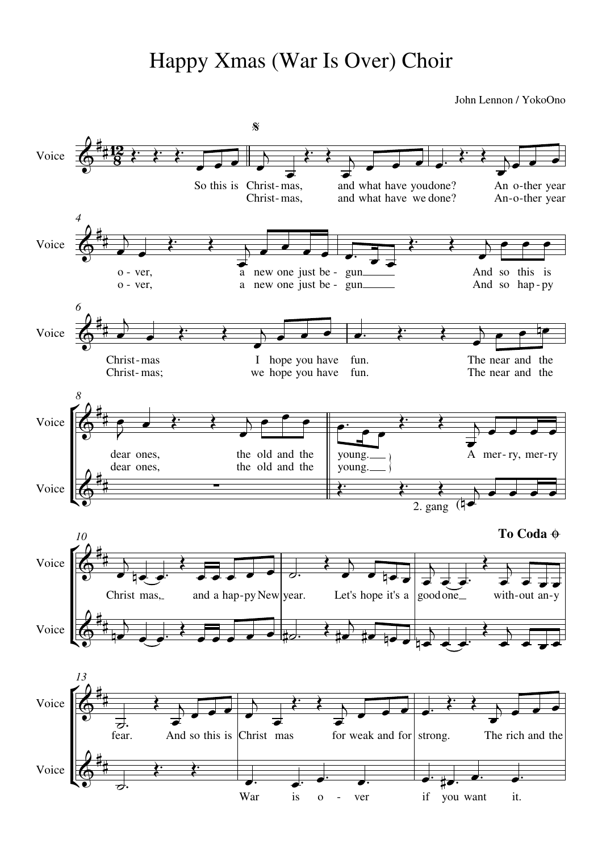## Happy Xmas (War Is Over) Choir

John Lennon / YokoOno